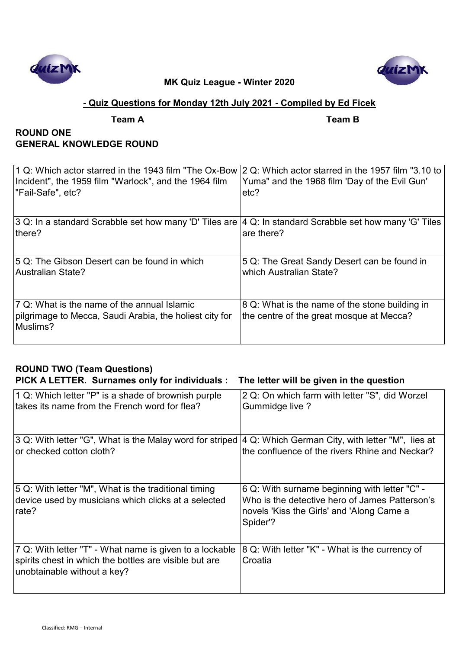



### **- Quiz Questions for Monday 12th July 2021 - Compiled by Ed Ficek**

**Team A Team B**

# **ROUND ONE GENERAL KNOWLEDGE ROUND**

| 1 Q: Which actor starred in the 1943 film "The Ox-Bow  2 Q: Which actor starred in the 1957 film "3.10 to<br>Incident", the 1959 film "Warlock", and the 1964 film<br>"Fail-Safe", etc? | Yuma" and the 1968 film 'Day of the Evil Gun'<br>etc?                                      |
|-----------------------------------------------------------------------------------------------------------------------------------------------------------------------------------------|--------------------------------------------------------------------------------------------|
| 3 Q: In a standard Scrabble set how many 'D' Tiles are                                                                                                                                  | 4 Q: In standard Scrabble set how many 'G' Tiles                                           |
| lthere?                                                                                                                                                                                 | are there?                                                                                 |
| 5 Q: The Gibson Desert can be found in which                                                                                                                                            | 5 Q: The Great Sandy Desert can be found in                                                |
| <b>Australian State?</b>                                                                                                                                                                | which Australian State?                                                                    |
| 7 Q: What is the name of the annual Islamic<br>pilgrimage to Mecca, Saudi Arabia, the holiest city for<br>Muslims?                                                                      | 8 Q: What is the name of the stone building in<br>the centre of the great mosque at Mecca? |

# **ROUND TWO (Team Questions) PICK A LETTER. Surnames only for individuals : The letter will be given in the question**

| 1 Q: Which letter "P" is a shade of brownish purple<br>takes its name from the French word for flea?                                             | 2 Q: On which farm with letter "S", did Worzel<br><b>Gummidge live ?</b>                                                                                 |
|--------------------------------------------------------------------------------------------------------------------------------------------------|----------------------------------------------------------------------------------------------------------------------------------------------------------|
| 3 Q: With letter "G", What is the Malay word for striped<br>or checked cotton cloth?                                                             | 4 Q: Which German City, with letter "M", lies at<br>the confluence of the rivers Rhine and Neckar?                                                       |
| 5 Q: With letter "M", What is the traditional timing<br>device used by musicians which clicks at a selected<br>rate?                             | 6 Q: With surname beginning with letter "C" -<br>Who is the detective hero of James Patterson's<br>novels 'Kiss the Girls' and 'Along Came a<br>Spider'? |
| 7 Q: With letter "T" - What name is given to a lockable<br>spirits chest in which the bottles are visible but are<br>unobtainable without a key? | 8 Q: With letter "K" - What is the currency of<br>Croatia                                                                                                |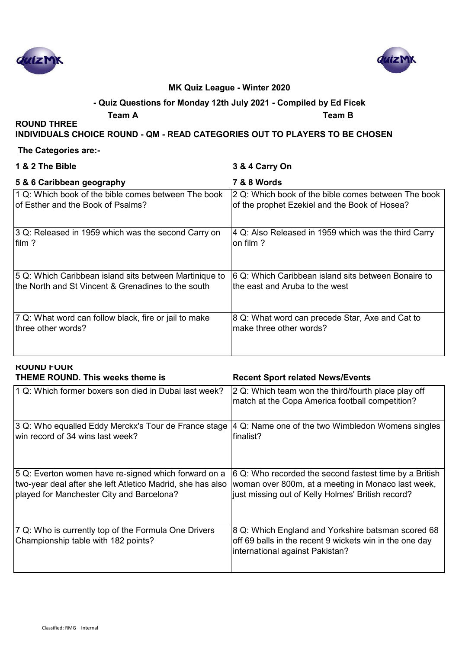



#### **- Quiz Questions for Monday 12th July 2021 - Compiled by Ed Ficek**

**Team A Team B**

**INDIVIDUALS CHOICE ROUND - QM - READ CATEGORIES OUT TO PLAYERS TO BE CHOSEN**

#### **The Categories are:-**

**ROUND THREE** 

| 1 & 2 The Bible                                        | 3 & 4 Carry On                                       |
|--------------------------------------------------------|------------------------------------------------------|
| 5 & 6 Caribbean geography                              | 7 & 8 Words                                          |
| 1 Q: Which book of the bible comes between The book    | 2 Q: Which book of the bible comes between The book  |
| of Esther and the Book of Psalms?                      | of the prophet Ezekiel and the Book of Hosea?        |
| 3 Q: Released in 1959 which was the second Carry on    | 4 Q: Also Released in 1959 which was the third Carry |
| film ?                                                 | on film ?                                            |
| 5 Q: Which Caribbean island sits between Martinique to | 6 Q: Which Caribbean island sits between Bonaire to  |
| the North and St Vincent & Grenadines to the south     | the east and Aruba to the west                       |
| 7 Q: What word can follow black, fire or jail to make  | 8 Q: What word can precede Star, Axe and Cat to      |
| three other words?                                     | make three other words?                              |

| <b>ROUND FOUR</b><br><b>THEME ROUND. This weeks theme is</b>                                                                                                    | <b>Recent Sport related News/Events</b>                                                                                                                           |
|-----------------------------------------------------------------------------------------------------------------------------------------------------------------|-------------------------------------------------------------------------------------------------------------------------------------------------------------------|
| 1 Q: Which former boxers son died in Dubai last week?                                                                                                           | 2 Q: Which team won the third/fourth place play off<br>match at the Copa America football competition?                                                            |
| 3 Q: Who equalled Eddy Merckx's Tour de France stage<br>win record of 34 wins last week?                                                                        | 4 Q: Name one of the two Wimbledon Womens singles<br>finalist?                                                                                                    |
| 5 Q: Everton women have re-signed which forward on a<br>two-year deal after she left Atletico Madrid, she has also<br>played for Manchester City and Barcelona? | 6 Q: Who recorded the second fastest time by a British<br>woman over 800m, at a meeting in Monaco last week,<br>just missing out of Kelly Holmes' British record? |
| 7 Q: Who is currently top of the Formula One Drivers                                                                                                            | 8 Q: Which England and Yorkshire batsman scored 68                                                                                                                |

off 69 balls in the recent 9 wickets win in the one day

international against Pakistan?

Championship table with 182 points?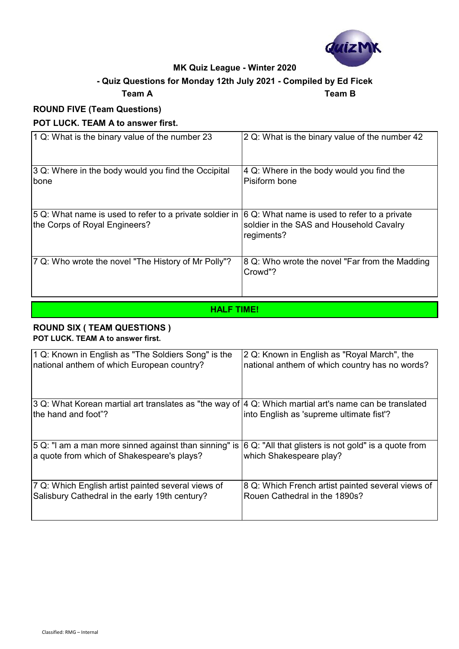

### **- Quiz Questions for Monday 12th July 2021 - Compiled by Ed Ficek**

#### **Team A Team B**

# **ROUND FIVE (Team Questions)**

#### **POT LUCK. TEAM A to answer first.**

| 1 Q: What is the binary value of the number 23                                           | 2 Q: What is the binary value of the number 42                                                         |
|------------------------------------------------------------------------------------------|--------------------------------------------------------------------------------------------------------|
| 3 Q: Where in the body would you find the Occipital<br>bone                              | 4 Q: Where in the body would you find the<br>Pisiform bone                                             |
| 5 Q: What name is used to refer to a private soldier in<br>the Corps of Royal Engineers? | 6 Q: What name is used to refer to a private<br>soldier in the SAS and Household Cavalry<br>regiments? |
| 7 Q: Who wrote the novel "The History of Mr Polly"?                                      | 8 Q: Who wrote the novel "Far from the Madding"<br>Crowd"?                                             |

# **HALF TIME!**

#### **ROUND SIX ( TEAM QUESTIONS ) POT LUCK. TEAM A to answer first.**

| 1 Q: Known in English as "The Soldiers Song" is the                                                                                | 2 Q: Known in English as "Royal March", the              |
|------------------------------------------------------------------------------------------------------------------------------------|----------------------------------------------------------|
| national anthem of which European country?                                                                                         | national anthem of which country has no words?           |
| 3 Q: What Korean martial art translates as "the way of $ 4\>$ Q: Which martial art's name can be translated<br>the hand and foot"? | into English as 'supreme ultimate fist'?                 |
| 5 Q: "I am a man more sinned against than sinning" is                                                                              | $ 6 Q$ : "All that glisters is not gold" is a quote from |
| a quote from which of Shakespeare's plays?                                                                                         | which Shakespeare play?                                  |
| 7 Q: Which English artist painted several views of                                                                                 | 8 Q: Which French artist painted several views of        |
| Salisbury Cathedral in the early 19th century?                                                                                     | Rouen Cathedral in the 1890s?                            |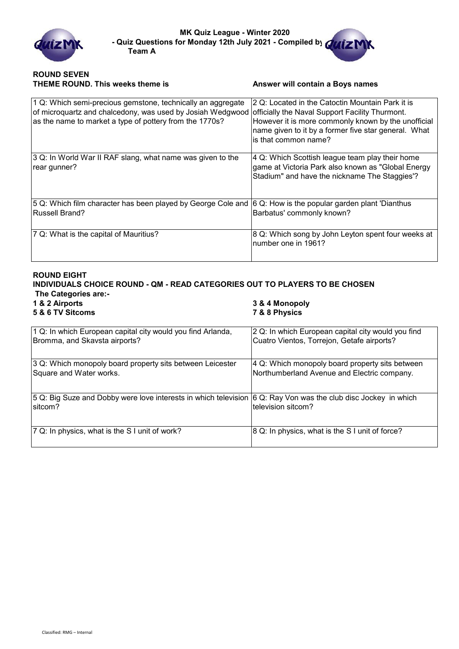

#### **ROUND SEVEN THEME ROUND. This weeks theme is <b>Answer will contain a Boys names**

| 1 Q: Which semi-precious gemstone, technically an aggregate<br>of microquartz and chalcedony, was used by Josiah Wedgwood<br>as the name to market a type of pottery from the 1770s? | 2 Q: Located in the Catoctin Mountain Park it is<br>officially the Naval Support Facility Thurmont.<br>However it is more commonly known by the unofficial<br>name given to it by a former five star general. What<br>is that common name? |
|--------------------------------------------------------------------------------------------------------------------------------------------------------------------------------------|--------------------------------------------------------------------------------------------------------------------------------------------------------------------------------------------------------------------------------------------|
| 3 Q: In World War II RAF slang, what name was given to the<br>rear gunner?                                                                                                           | 4 Q: Which Scottish league team play their home<br>game at Victoria Park also known as "Global Energy<br>Stadium" and have the nickname The Staggies'?                                                                                     |
| 5 Q: Which film character has been played by George Cole and<br>Russell Brand?                                                                                                       | 6 Q: How is the popular garden plant 'Dianthus'<br>Barbatus' commonly known?                                                                                                                                                               |
| 7 Q: What is the capital of Mauritius?                                                                                                                                               | 8 Q: Which song by John Leyton spent four weeks at<br>number one in 1961?                                                                                                                                                                  |

#### **ROUND EIGHT**

# **INDIVIDUALS CHOICE ROUND - QM - READ CATEGORIES OUT TO PLAYERS TO BE CHOSEN The Categories are:-**

**5 & 6 TV Sitcoms 7 & 8 Physics**

# **1 & 2 Airports 3 & 4 Monopoly**

| 1 Q: In which European capital city would you find Arlanda,     | 2 Q: In which European capital city would you find |
|-----------------------------------------------------------------|----------------------------------------------------|
| Bromma, and Skavsta airports?                                   | Cuatro Vientos, Torrejon, Getafe airports?         |
| 3 Q: Which monopoly board property sits between Leicester       | 4 Q: Which monopoly board property sits between    |
| Square and Water works.                                         | Northumberland Avenue and Electric company.        |
| 5 Q: Big Suze and Dobby were love interests in which television | 6 Q: Ray Von was the club disc Jockey in which     |
| sitcom?                                                         | television sitcom?                                 |
| 7 Q: In physics, what is the SI unit of work?                   | 8 Q: In physics, what is the SI unit of force?     |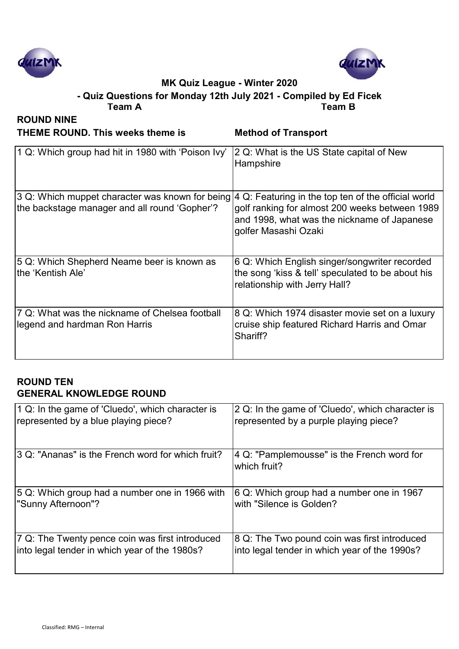



**Team A Team B - Quiz Questions for Monday 12th July 2021 - Compiled by Ed Ficek**

**ROUND NINE THEME ROUND. This weeks theme is Method of Transport**

| 1 Q: Which group had hit in 1980 with 'Poison Ivy'                                                                                                               | 2 Q: What is the US State capital of New<br>Hampshire                                                                               |
|------------------------------------------------------------------------------------------------------------------------------------------------------------------|-------------------------------------------------------------------------------------------------------------------------------------|
| 3 Q: Which muppet character was known for being $ 4 \text{ Q}$ : Featuring in the top ten of the official world<br>the backstage manager and all round 'Gopher'? | golf ranking for almost 200 weeks between 1989<br>and 1998, what was the nickname of Japanese<br>golfer Masashi Ozaki               |
| 5 Q: Which Shepherd Neame beer is known as<br>the 'Kentish Ale'                                                                                                  | 6 Q: Which English singer/songwriter recorded<br>the song 'kiss & tell' speculated to be about his<br>relationship with Jerry Hall? |
| 7 Q: What was the nickname of Chelsea football<br>legend and hardman Ron Harris                                                                                  | 8 Q: Which 1974 disaster movie set on a luxury<br>cruise ship featured Richard Harris and Omar<br>Shariff?                          |

# **ROUND TEN GENERAL KNOWLEDGE ROUND**

| 1 Q: In the game of 'Cluedo', which character is  | 2 Q: In the game of 'Cluedo', which character is           |
|---------------------------------------------------|------------------------------------------------------------|
| represented by a blue playing piece?              | represented by a purple playing piece?                     |
| 3 Q: "Ananas" is the French word for which fruit? | 4 Q: "Pamplemousse" is the French word for<br>which fruit? |
| 5 Q: Which group had a number one in 1966 with    | 6 Q: Which group had a number one in 1967                  |
| "Sunny Afternoon"?                                | with "Silence is Golden?                                   |
| 7 Q: The Twenty pence coin was first introduced   | 8 Q: The Two pound coin was first introduced               |
| into legal tender in which year of the 1980s?     | into legal tender in which year of the 1990s?              |